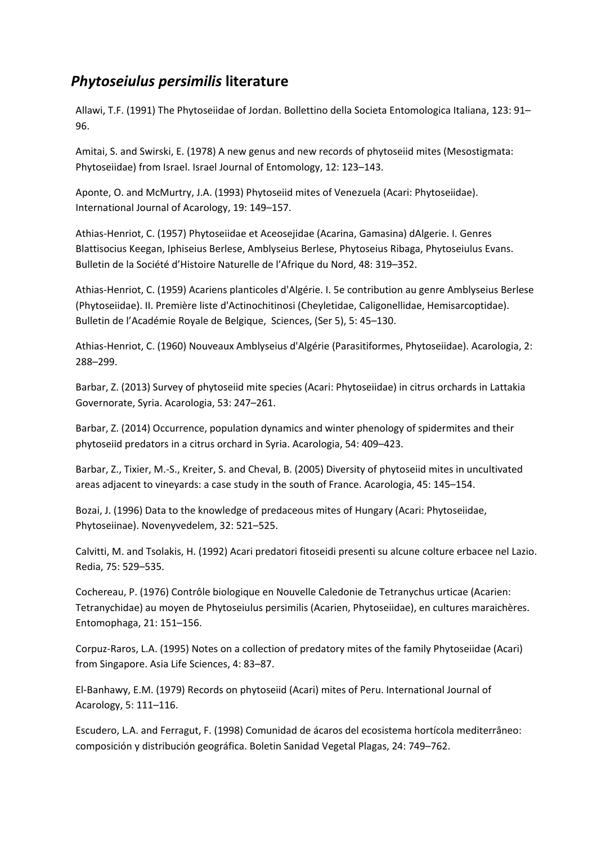## *Phytoseiulus persimilis* **literature**

Allawi, T.F. (1991) The Phytoseiidae of Jordan. Bollettino della Societa Entomologica Italiana, 123: 91– 96.

Amitai, S. and Swirski, E. (1978) A new genus and new records of phytoseiid mites (Mesostigmata: Phytoseiidae) from Israel. Israel Journal of Entomology, 12: 123–143.

Aponte, O. and McMurtry, J.A. (1993) Phytoseiid mites of Venezuela (Acari: Phytoseiidae). International Journal of Acarology, 19: 149–157.

Athias-Henriot, C. (1957) Phytoseiidae et Aceosejidae (Acarina, Gamasina) dAlgerie. I. Genres Blattisocius Keegan, Iphiseius Berlese, Amblyseius Berlese, Phytoseius Ribaga, Phytoseiulus Evans. Bulletin de la Société d'Histoire Naturelle de l'Afrique du Nord, 48: 319–352.

Athias-Henriot, C. (1959) Acariens planticoles d'Algérie. I. 5e contribution au genre Amblyseius Berlese (Phytoseiidae). II. Première liste d'Actinochitinosi (Cheyletidae, Caligonellidae, Hemisarcoptidae). Bulletin de l'Académie Royale de Belgique, Sciences, (Ser 5), 5: 45–130.

Athias-Henriot, C. (1960) Nouveaux Amblyseius d'Algérie (Parasitiformes, Phytoseiidae). Acarologia, 2: 288–299.

Barbar, Z. (2013) Survey of phytoseiid mite species (Acari: Phytoseiidae) in citrus orchards in Lattakia Governorate, Syria. Acarologia, 53: 247–261.

Barbar, Z. (2014) Occurrence, population dynamics and winter phenology of spidermites and their phytoseiid predators in a citrus orchard in Syria. Acarologia, 54: 409–423.

Barbar, Z., Tixier, M.-S., Kreiter, S. and Cheval, B. (2005) Diversity of phytoseiid mites in uncultivated areas adjacent to vineyards: a case study in the south of France. Acarologia, 45: 145–154.

Bozai, J. (1996) Data to the knowledge of predaceous mites of Hungary (Acari: Phytoseiidae, Phytoseiinae). Novenyvedelem, 32: 521–525.

Calvitti, M. and Tsolakis, H. (1992) Acari predatori fitoseidi presenti su alcune colture erbacee nel Lazio. Redia, 75: 529–535.

Cochereau, P. (1976) Contrôle biologique en Nouvelle Caledonie de Tetranychus urticae (Acarien: Tetranychidae) au moyen de Phytoseiulus persimilis (Acarien, Phytoseiidae), en cultures maraichères. Entomophaga, 21: 151–156.

Corpuz-Raros, L.A. (1995) Notes on a collection of predatory mites of the family Phytoseiidae (Acari) from Singapore. Asia Life Sciences, 4: 83–87.

El-Banhawy, E.M. (1979) Records on phytoseiid (Acari) mites of Peru. International Journal of Acarology, 5: 111–116.

Escudero, L.A. and Ferragut, F. (1998) Comunidad de ácaros del ecosistema hortícola mediterrâneo: composición y distribución geográfica. Boletin Sanidad Vegetal Plagas, 24: 749–762.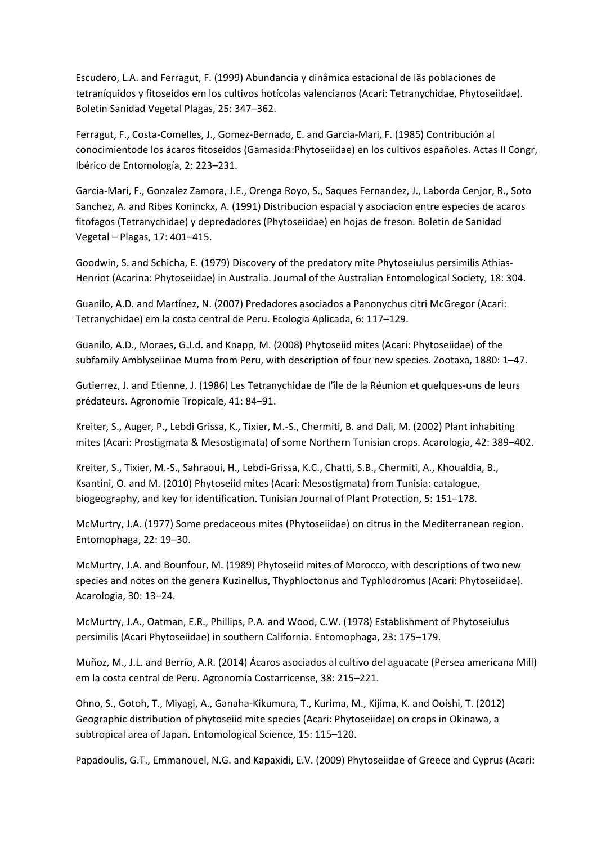Escudero, L.A. and Ferragut, F. (1999) Abundancia y dinâmica estacional de lãs poblaciones de tetraníquidos y fitoseidos em los cultivos hotícolas valencianos (Acari: Tetranychidae, Phytoseiidae). Boletin Sanidad Vegetal Plagas, 25: 347–362.

Ferragut, F., Costa-Comelles, J., Gomez-Bernado, E. and Garcia-Mari, F. (1985) Contribución al conocimientode los ácaros fitoseidos (Gamasida:Phytoseiidae) en los cultivos españoles. Actas II Congr, Ibérico de Entomología, 2: 223–231.

Garcia-Mari, F., Gonzalez Zamora, J.E., Orenga Royo, S., Saques Fernandez, J., Laborda Cenjor, R., Soto Sanchez, A. and Ribes Koninckx, A. (1991) Distribucion espacial y asociacion entre especies de acaros fitofagos (Tetranychidae) y depredadores (Phytoseiidae) en hojas de freson. Boletin de Sanidad Vegetal – Plagas, 17: 401–415.

Goodwin, S. and Schicha, E. (1979) Discovery of the predatory mite Phytoseiulus persimilis Athias-Henriot (Acarina: Phytoseiidae) in Australia. Journal of the Australian Entomological Society, 18: 304.

Guanilo, A.D. and Martínez, N. (2007) Predadores asociados a Panonychus citri McGregor (Acari: Tetranychidae) em la costa central de Peru. Ecologia Aplicada, 6: 117–129.

Guanilo, A.D., Moraes, G.J.d. and Knapp, M. (2008) Phytoseiid mites (Acari: Phytoseiidae) of the subfamily Amblyseiinae Muma from Peru, with description of four new species. Zootaxa, 1880: 1–47.

Gutierrez, J. and Etienne, J. (1986) Les Tetranychidae de I'île de la Réunion et quelques-uns de leurs prédateurs. Agronomie Tropicale, 41: 84–91.

Kreiter, S., Auger, P., Lebdi Grissa, K., Tixier, M.-S., Chermiti, B. and Dali, M. (2002) Plant inhabiting mites (Acari: Prostigmata & Mesostigmata) of some Northern Tunisian crops. Acarologia, 42: 389–402.

Kreiter, S., Tixier, M.-S., Sahraoui, H., Lebdi-Grissa, K.C., Chatti, S.B., Chermiti, A., Khoualdia, B., Ksantini, O. and M. (2010) Phytoseiid mites (Acari: Mesostigmata) from Tunisia: catalogue, biogeography, and key for identification. Tunisian Journal of Plant Protection, 5: 151–178.

McMurtry, J.A. (1977) Some predaceous mites (Phytoseiidae) on citrus in the Mediterranean region. Entomophaga, 22: 19–30.

McMurtry, J.A. and Bounfour, M. (1989) Phytoseiid mites of Morocco, with descriptions of two new species and notes on the genera Kuzinellus, Thyphloctonus and Typhlodromus (Acari: Phytoseiidae). Acarologia, 30: 13–24.

McMurtry, J.A., Oatman, E.R., Phillips, P.A. and Wood, C.W. (1978) Establishment of Phytoseiulus persimilis (Acari Phytoseiidae) in southern California. Entomophaga, 23: 175–179.

Muñoz, M., J.L. and Berrío, A.R. (2014) Ácaros asociados al cultivo del aguacate (Persea americana Mill) em la costa central de Peru. Agronomía Costarricense, 38: 215–221.

Ohno, S., Gotoh, T., Miyagi, A., Ganaha-Kikumura, T., Kurima, M., Kijima, K. and Ooishi, T. (2012) Geographic distribution of phytoseiid mite species (Acari: Phytoseiidae) on crops in Okinawa, a subtropical area of Japan. Entomological Science, 15: 115–120.

Papadoulis, G.T., Emmanouel, N.G. and Kapaxidi, E.V. (2009) Phytoseiidae of Greece and Cyprus (Acari: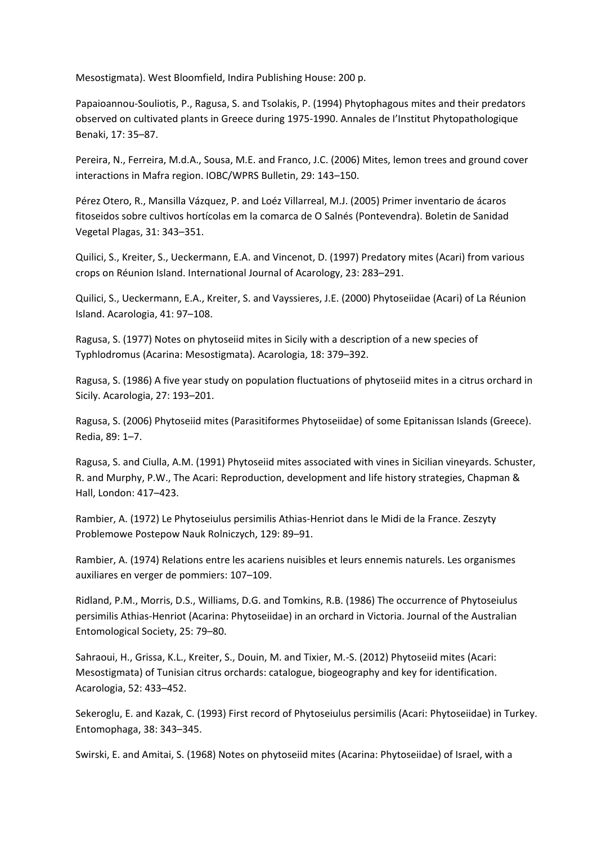Mesostigmata). West Bloomfield, Indira Publishing House: 200 p.

Papaioannou-Souliotis, P., Ragusa, S. and Tsolakis, P. (1994) Phytophagous mites and their predators observed on cultivated plants in Greece during 1975-1990. Annales de I'Institut Phytopathologique Benaki, 17: 35–87.

Pereira, N., Ferreira, M.d.A., Sousa, M.E. and Franco, J.C. (2006) Mites, lemon trees and ground cover interactions in Mafra region. IOBC/WPRS Bulletin, 29: 143–150.

Pérez Otero, R., Mansilla Vázquez, P. and Loéz Villarreal, M.J. (2005) Primer inventario de ácaros fitoseidos sobre cultivos hortícolas em la comarca de O Salnés (Pontevendra). Boletin de Sanidad Vegetal Plagas, 31: 343–351.

Quilici, S., Kreiter, S., Ueckermann, E.A. and Vincenot, D. (1997) Predatory mites (Acari) from various crops on Réunion Island. International Journal of Acarology, 23: 283–291.

Quilici, S., Ueckermann, E.A., Kreiter, S. and Vayssieres, J.E. (2000) Phytoseiidae (Acari) of La Réunion Island. Acarologia, 41: 97–108.

Ragusa, S. (1977) Notes on phytoseiid mites in Sicily with a description of a new species of Typhlodromus (Acarina: Mesostigmata). Acarologia, 18: 379–392.

Ragusa, S. (1986) A five year study on population fluctuations of phytoseiid mites in a citrus orchard in Sicily. Acarologia, 27: 193–201.

Ragusa, S. (2006) Phytoseiid mites (Parasitiformes Phytoseiidae) of some Epitanissan Islands (Greece). Redia, 89: 1–7.

Ragusa, S. and Ciulla, A.M. (1991) Phytoseiid mites associated with vines in Sicilian vineyards. Schuster, R. and Murphy, P.W., The Acari: Reproduction, development and life history strategies, Chapman & Hall, London: 417–423.

Rambier, A. (1972) Le Phytoseiulus persimilis Athias-Henriot dans le Midi de la France. Zeszyty Problemowe Postepow Nauk Rolniczych, 129: 89–91.

Rambier, A. (1974) Relations entre les acariens nuisibles et leurs ennemis naturels. Les organismes auxiliares en verger de pommiers: 107–109.

Ridland, P.M., Morris, D.S., Williams, D.G. and Tomkins, R.B. (1986) The occurrence of Phytoseiulus persimilis Athias-Henriot (Acarina: Phytoseiidae) in an orchard in Victoria. Journal of the Australian Entomological Society, 25: 79–80.

Sahraoui, H., Grissa, K.L., Kreiter, S., Douin, M. and Tixier, M.-S. (2012) Phytoseiid mites (Acari: Mesostigmata) of Tunisian citrus orchards: catalogue, biogeography and key for identification. Acarologia, 52: 433–452.

Sekeroglu, E. and Kazak, C. (1993) First record of Phytoseiulus persimilis (Acari: Phytoseiidae) in Turkey. Entomophaga, 38: 343–345.

Swirski, E. and Amitai, S. (1968) Notes on phytoseiid mites (Acarina: Phytoseiidae) of Israel, with a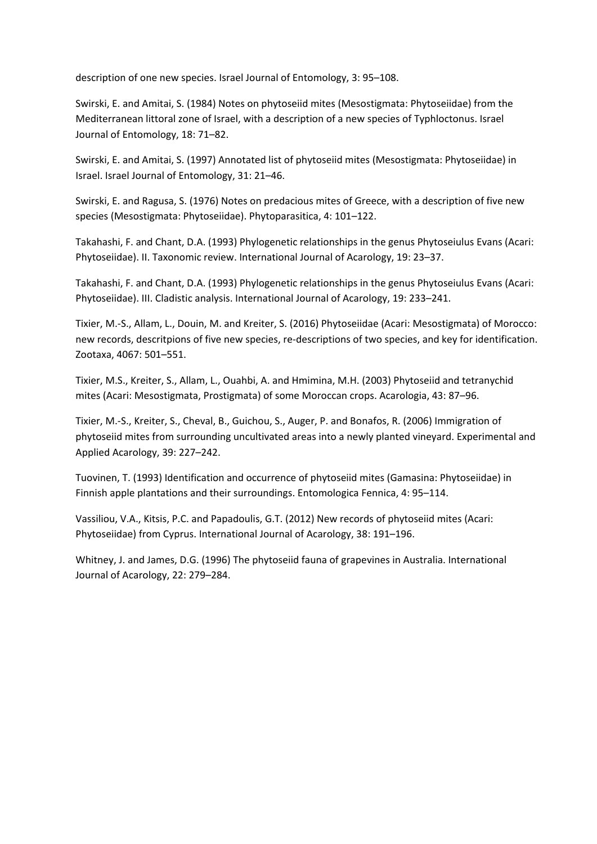description of one new species. Israel Journal of Entomology, 3: 95–108.

Swirski, E. and Amitai, S. (1984) Notes on phytoseiid mites (Mesostigmata: Phytoseiidae) from the Mediterranean littoral zone of Israel, with a description of a new species of Typhloctonus. Israel Journal of Entomology, 18: 71–82.

Swirski, E. and Amitai, S. (1997) Annotated list of phytoseiid mites (Mesostigmata: Phytoseiidae) in Israel. Israel Journal of Entomology, 31: 21–46.

Swirski, E. and Ragusa, S. (1976) Notes on predacious mites of Greece, with a description of five new species (Mesostigmata: Phytoseiidae). Phytoparasitica, 4: 101–122.

Takahashi, F. and Chant, D.A. (1993) Phylogenetic relationships in the genus Phytoseiulus Evans (Acari: Phytoseiidae). II. Taxonomic review. International Journal of Acarology, 19: 23–37.

Takahashi, F. and Chant, D.A. (1993) Phylogenetic relationships in the genus Phytoseiulus Evans (Acari: Phytoseiidae). III. Cladistic analysis. International Journal of Acarology, 19: 233–241.

Tixier, M.-S., Allam, L., Douin, M. and Kreiter, S. (2016) Phytoseiidae (Acari: Mesostigmata) of Morocco: new records, descritpions of five new species, re-descriptions of two species, and key for identification. Zootaxa, 4067: 501–551.

Tixier, M.S., Kreiter, S., Allam, L., Ouahbi, A. and Hmimina, M.H. (2003) Phytoseiid and tetranychid mites (Acari: Mesostigmata, Prostigmata) of some Moroccan crops. Acarologia, 43: 87–96.

Tixier, M.-S., Kreiter, S., Cheval, B., Guichou, S., Auger, P. and Bonafos, R. (2006) Immigration of phytoseiid mites from surrounding uncultivated areas into a newly planted vineyard. Experimental and Applied Acarology, 39: 227–242.

Tuovinen, T. (1993) Identification and occurrence of phytoseiid mites (Gamasina: Phytoseiidae) in Finnish apple plantations and their surroundings. Entomologica Fennica, 4: 95–114.

Vassiliou, V.A., Kitsis, P.C. and Papadoulis, G.T. (2012) New records of phytoseiid mites (Acari: Phytoseiidae) from Cyprus. International Journal of Acarology, 38: 191–196.

Whitney, J. and James, D.G. (1996) The phytoseiid fauna of grapevines in Australia. International Journal of Acarology, 22: 279–284.